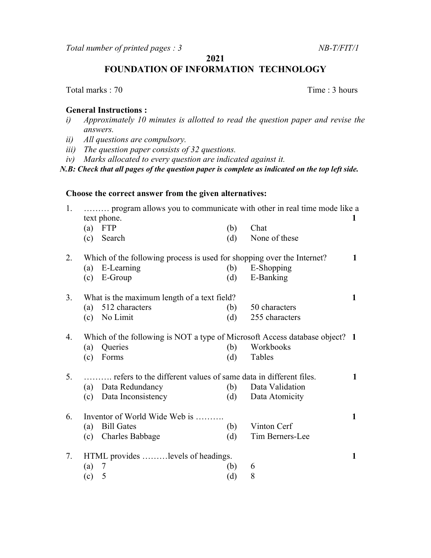Total number of printed pages : 3 NB-T/FIT/1

2021

FOUNDATION OF INFORMATION TECHNOLOGY

Total marks : 70 Time : 3 hours

## General Instructions :

- i) Approximately 10 minutes is allotted to read the question paper and revise the answers.
- ii) All questions are compulsory.
- iii) The question paper consists of 32 questions.
- iv) Marks allocated to every question are indicated against it.

N.B: Check that all pages of the question paper is complete as indicated on the top left side.

## Choose the correct answer from the given alternatives:

| 1. | program allows you to communicate with other in real time mode like a<br>text phone. |                        |     |                 |              |
|----|--------------------------------------------------------------------------------------|------------------------|-----|-----------------|--------------|
|    |                                                                                      | $(a)$ FTP              | (b) | Chat            |              |
|    | (c)                                                                                  | Search                 | (d) | None of these   |              |
| 2. | Which of the following process is used for shopping over the Internet?               |                        |     |                 | 1            |
|    | (a)                                                                                  | E-Learning             | (b) | E-Shopping      |              |
|    |                                                                                      | $(c)$ E-Group          | (d) | E-Banking       |              |
| 3. | What is the maximum length of a text field?                                          |                        |     |                 | 1            |
|    | (a)                                                                                  | 512 characters         | (b) | 50 characters   |              |
|    | (c)                                                                                  | No Limit               | (d) | 255 characters  |              |
| 4. | Which of the following is NOT a type of Microsoft Access database object? 1          |                        |     |                 |              |
|    | (a)                                                                                  | Queries                | (b) | Workbooks       |              |
|    | (c)                                                                                  | Forms                  | (d) | Tables          |              |
| 5. | refers to the different values of same data in different files.                      |                        |     |                 | 1            |
|    | (a)                                                                                  | Data Redundancy        | (b) | Data Validation |              |
|    |                                                                                      | (c) Data Inconsistency | (d) | Data Atomicity  |              |
| 6. | Inventor of World Wide Web is                                                        |                        |     |                 | $\mathbf{1}$ |
|    | (a)                                                                                  | <b>Bill Gates</b>      | (b) | Vinton Cerf     |              |
|    | (c)                                                                                  | <b>Charles Babbage</b> | (d) | Tim Berners-Lee |              |
| 7. | HTML provides levels of headings.                                                    |                        |     |                 | 1            |
|    | (a)                                                                                  | 7                      | (b) | 6               |              |
|    | (c)                                                                                  | 5                      | (d) | 8               |              |
|    |                                                                                      |                        |     |                 |              |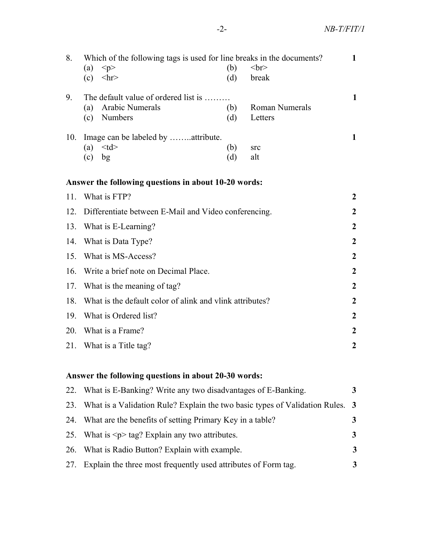| 8.                                                   | Which of the following tags is used for line breaks in the documents?<br>< p ><br>(a)<br>(c)<br>$\langle$ hr> | (b)<br>(d) | <br>str<br>break                 | $\mathbf 1$      |  |  |
|------------------------------------------------------|---------------------------------------------------------------------------------------------------------------|------------|----------------------------------|------------------|--|--|
| 9.                                                   | The default value of ordered list is<br>Arabic Numerals<br>(a)<br>Numbers<br>(c)                              | (b)<br>(d) | <b>Roman Numerals</b><br>Letters | $\mathbf{1}$     |  |  |
| 10.                                                  | Image can be labeled by attribute.<br>$<$ td $>$<br>(a)<br>bg<br>(c)                                          | (b)<br>(d) | src<br>alt                       | 1                |  |  |
|                                                      | Answer the following questions in about 10-20 words:                                                          |            |                                  |                  |  |  |
| 11.                                                  | What is FTP?                                                                                                  |            |                                  |                  |  |  |
| 12.                                                  | Differentiate between E-Mail and Video conferencing.                                                          |            |                                  | $\boldsymbol{2}$ |  |  |
| 13.                                                  | What is E-Learning?                                                                                           |            |                                  | $\boldsymbol{2}$ |  |  |
| 14.                                                  | What is Data Type?                                                                                            |            |                                  |                  |  |  |
| 15.                                                  | What is MS-Access?                                                                                            |            |                                  |                  |  |  |
| 16.                                                  | Write a brief note on Decimal Place.                                                                          |            |                                  |                  |  |  |
| 17.                                                  | What is the meaning of tag?                                                                                   |            |                                  | $\boldsymbol{2}$ |  |  |
| 18.                                                  | What is the default color of alink and vlink attributes?                                                      |            |                                  | $\boldsymbol{2}$ |  |  |
| 19.                                                  | What is Ordered list?                                                                                         |            |                                  | $\overline{2}$   |  |  |
| 20.                                                  | What is a Frame?                                                                                              |            |                                  | $\mathbf{2}$     |  |  |
| 21.                                                  | What is a Title tag?                                                                                          |            |                                  | $\boldsymbol{2}$ |  |  |
| Answer the following questions in about 20-30 words: |                                                                                                               |            |                                  |                  |  |  |

| 22. What is E-Banking? Write any two disadvantages of E-Banking.                  |   |
|-----------------------------------------------------------------------------------|---|
| 23. What is a Validation Rule? Explain the two basic types of Validation Rules. 3 |   |
| 24. What are the benefits of setting Primary Key in a table?                      |   |
| 25. What is $\leq p$ tag? Explain any two attributes.                             |   |
| 26. What is Radio Button? Explain with example.                                   | 3 |
| 27. Explain the three most frequently used attributes of Form tag.                |   |